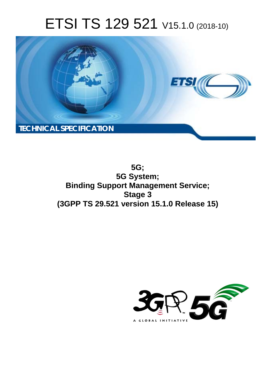# ETSI TS 129 521 V15.1.0 (2018-10)



**5G; 5G System; Binding Support Management Service; Stage 3 (3GPP TS 29.521 version 15.1.0 Release 15)** 

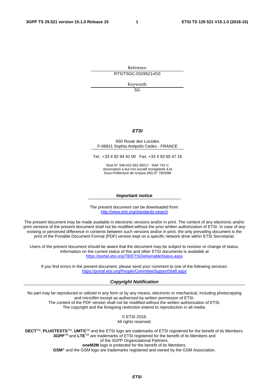Reference

RTS/TSGC-0329521vf10

Keywords

 $5G$ 

#### *ETSI*

#### 650 Route des Lucioles F-06921 Sophia Antipolis Cedex - FRANCE

Tel.: +33 4 92 94 42 00 Fax: +33 4 93 65 47 16

Siret N° 348 623 562 00017 - NAF 742 C Association à but non lucratif enregistrée à la Sous-Préfecture de Grasse (06) N° 7803/88

#### *Important notice*

The present document can be downloaded from: <http://www.etsi.org/standards-search>

The present document may be made available in electronic versions and/or in print. The content of any electronic and/or print versions of the present document shall not be modified without the prior written authorization of ETSI. In case of any existing or perceived difference in contents between such versions and/or in print, the only prevailing document is the print of the Portable Document Format (PDF) version kept on a specific network drive within ETSI Secretariat.

Users of the present document should be aware that the document may be subject to revision or change of status. Information on the current status of this and other ETSI documents is available at <https://portal.etsi.org/TB/ETSIDeliverableStatus.aspx>

If you find errors in the present document, please send your comment to one of the following services: <https://portal.etsi.org/People/CommiteeSupportStaff.aspx>

#### *Copyright Notification*

No part may be reproduced or utilized in any form or by any means, electronic or mechanical, including photocopying and microfilm except as authorized by written permission of ETSI. The content of the PDF version shall not be modified without the written authorization of ETSI. The copyright and the foregoing restriction extend to reproduction in all media.

> © ETSI 2018. All rights reserved.

**DECT**TM, **PLUGTESTS**TM, **UMTS**TM and the ETSI logo are trademarks of ETSI registered for the benefit of its Members. **3GPP**TM and **LTE**TM are trademarks of ETSI registered for the benefit of its Members and of the 3GPP Organizational Partners. **oneM2M** logo is protected for the benefit of its Members.

**GSM**® and the GSM logo are trademarks registered and owned by the GSM Association.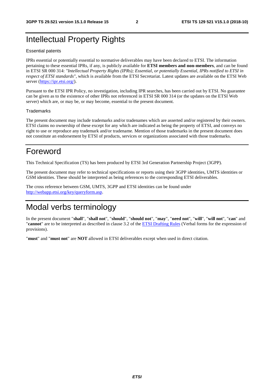### Intellectual Property Rights

#### Essential patents

IPRs essential or potentially essential to normative deliverables may have been declared to ETSI. The information pertaining to these essential IPRs, if any, is publicly available for **ETSI members and non-members**, and can be found in ETSI SR 000 314: *"Intellectual Property Rights (IPRs); Essential, or potentially Essential, IPRs notified to ETSI in respect of ETSI standards"*, which is available from the ETSI Secretariat. Latest updates are available on the ETSI Web server ([https://ipr.etsi.org/\)](https://ipr.etsi.org/).

Pursuant to the ETSI IPR Policy, no investigation, including IPR searches, has been carried out by ETSI. No guarantee can be given as to the existence of other IPRs not referenced in ETSI SR 000 314 (or the updates on the ETSI Web server) which are, or may be, or may become, essential to the present document.

#### **Trademarks**

The present document may include trademarks and/or tradenames which are asserted and/or registered by their owners. ETSI claims no ownership of these except for any which are indicated as being the property of ETSI, and conveys no right to use or reproduce any trademark and/or tradename. Mention of those trademarks in the present document does not constitute an endorsement by ETSI of products, services or organizations associated with those trademarks.

### Foreword

This Technical Specification (TS) has been produced by ETSI 3rd Generation Partnership Project (3GPP).

The present document may refer to technical specifications or reports using their 3GPP identities, UMTS identities or GSM identities. These should be interpreted as being references to the corresponding ETSI deliverables.

The cross reference between GSM, UMTS, 3GPP and ETSI identities can be found under [http://webapp.etsi.org/key/queryform.asp.](http://webapp.etsi.org/key/queryform.asp)

### Modal verbs terminology

In the present document "**shall**", "**shall not**", "**should**", "**should not**", "**may**", "**need not**", "**will**", "**will not**", "**can**" and "**cannot**" are to be interpreted as described in clause 3.2 of the [ETSI Drafting Rules](https://portal.etsi.org/Services/editHelp!/Howtostart/ETSIDraftingRules.aspx) (Verbal forms for the expression of provisions).

"**must**" and "**must not**" are **NOT** allowed in ETSI deliverables except when used in direct citation.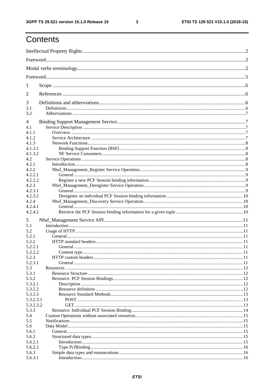ETSI TS 129 521 V15.1.0 (2018-10)

| 1          |  |  |  |  |  |  |
|------------|--|--|--|--|--|--|
| 2          |  |  |  |  |  |  |
| 3          |  |  |  |  |  |  |
| 3.1<br>3.2 |  |  |  |  |  |  |
| 4          |  |  |  |  |  |  |
| 4.1        |  |  |  |  |  |  |
| 4.1.1      |  |  |  |  |  |  |
| 4.1.2      |  |  |  |  |  |  |
| 4.1.3      |  |  |  |  |  |  |
| 4.1.3.1    |  |  |  |  |  |  |
| 4.1.3.2    |  |  |  |  |  |  |
| 4.2        |  |  |  |  |  |  |
| 4.2.1      |  |  |  |  |  |  |
| 4.2.2      |  |  |  |  |  |  |
| 4.2.2.1    |  |  |  |  |  |  |
| 4.2.2.2    |  |  |  |  |  |  |
| 4.2.3      |  |  |  |  |  |  |
| 4.2.3.1    |  |  |  |  |  |  |
| 4.2.3.2    |  |  |  |  |  |  |
| 4.2.4      |  |  |  |  |  |  |
| 4.2.4.1    |  |  |  |  |  |  |
| 4.2.4.2    |  |  |  |  |  |  |
|            |  |  |  |  |  |  |
| 5          |  |  |  |  |  |  |
| 5.1        |  |  |  |  |  |  |
| 5.2        |  |  |  |  |  |  |
| 5.2.1      |  |  |  |  |  |  |
| 5.2.2      |  |  |  |  |  |  |
| 5.2.2.1    |  |  |  |  |  |  |
| 5.2.2.2    |  |  |  |  |  |  |
| 5.2.3      |  |  |  |  |  |  |
| 5.2.3.1    |  |  |  |  |  |  |
| 5.3        |  |  |  |  |  |  |
| 5.3.1      |  |  |  |  |  |  |
| 5.3.2      |  |  |  |  |  |  |
| 5.3.2.1    |  |  |  |  |  |  |
| 5.3.2.2    |  |  |  |  |  |  |
| 5.3.2.3    |  |  |  |  |  |  |
| 5.3.2.3.1  |  |  |  |  |  |  |
| 5.3.2.3.2  |  |  |  |  |  |  |
| 5.3.3      |  |  |  |  |  |  |
| 5.4        |  |  |  |  |  |  |
| 5.5        |  |  |  |  |  |  |
| 5.6        |  |  |  |  |  |  |
| 5.6.1      |  |  |  |  |  |  |
| 5.6.2      |  |  |  |  |  |  |
| 5.6.2.1    |  |  |  |  |  |  |
| 5.6.2.2    |  |  |  |  |  |  |
| 5.6.3      |  |  |  |  |  |  |
| 5.6.3.1    |  |  |  |  |  |  |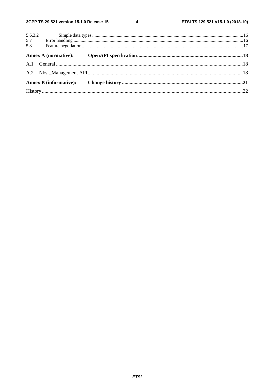$\overline{\mathbf{4}}$ 

|                | 5.6.3.2 |  |
|----------------|---------|--|
| $5.7$<br>$5.8$ |         |  |
|                |         |  |
|                |         |  |
|                |         |  |
|                |         |  |
|                |         |  |
|                |         |  |
|                |         |  |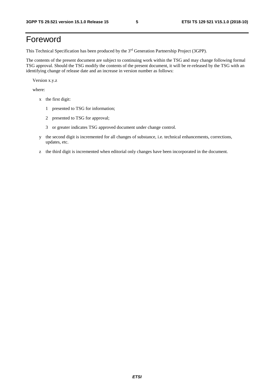### Foreword

This Technical Specification has been produced by the 3rd Generation Partnership Project (3GPP).

The contents of the present document are subject to continuing work within the TSG and may change following formal TSG approval. Should the TSG modify the contents of the present document, it will be re-released by the TSG with an identifying change of release date and an increase in version number as follows:

Version x.y.z

where:

- x the first digit:
	- 1 presented to TSG for information;
	- 2 presented to TSG for approval;
	- 3 or greater indicates TSG approved document under change control.
- y the second digit is incremented for all changes of substance, i.e. technical enhancements, corrections, updates, etc.
- z the third digit is incremented when editorial only changes have been incorporated in the document.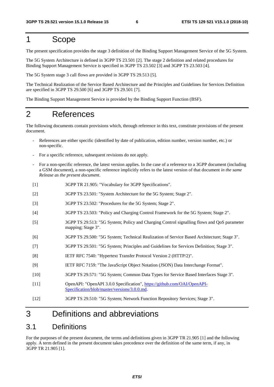### 1 Scope

The present specification provides the stage 3 definition of the Binding Support Management Service of the 5G System.

The 5G System Architecture is defined in 3GPP TS 23.501 [2]. The stage 2 definition and related procedures for Binding Support Management Service is specified in 3GPP TS 23.502 [3] and 3GPP TS 23.503 [4].

The 5G System stage 3 call flows are provided in 3GPP TS 29.513 [5].

The Technical Realization of the Service Based Architecture and the Principles and Guidelines for Services Definition are specified in 3GPP TS 29.500 [6] and 3GPP TS 29.501 [7].

The Binding Support Management Service is provided by the Binding Support Function (BSF).

### 2 References

The following documents contain provisions which, through reference in this text, constitute provisions of the present document.

- References are either specific (identified by date of publication, edition number, version number, etc.) or non-specific.
- For a specific reference, subsequent revisions do not apply.
- For a non-specific reference, the latest version applies. In the case of a reference to a 3GPP document (including a GSM document), a non-specific reference implicitly refers to the latest version of that document *in the same Release as the present document*.
- [1] 3GPP TR 21.905: "Vocabulary for 3GPP Specifications".
- [2] 3GPP TS 23.501: "System Architecture for the 5G System; Stage 2".
- [3] 3GPP TS 23.502: "Procedures for the 5G System; Stage 2".
- [4] 3GPP TS 23.503: "Policy and Charging Control Framework for the 5G System; Stage 2".
- [5] 3GPP TS 29.513: "5G System; Policy and Charging Control signalling flows and QoS parameter mapping; Stage 3".
- [6] 3GPP TS 29.500: "5G System; Technical Realization of Service Based Architecture; Stage 3".
- [7] 3GPP TS 29.501: "5G System; Principles and Guidelines for Services Definition; Stage 3".
- [8] IETF RFC 7540: "Hypertext Transfer Protocol Version 2 (HTTP/2)".
- [9] IETF RFC 7159: "The JavaScript Object Notation (JSON) Data Interchange Format".
- [10] 3GPP TS 29.571: "5G System; Common Data Types for Service Based Interfaces Stage 3".
- [11] OpenAPI: "OpenAPI 3.0.0 Specification", [https://github.com/OAI/OpenAPI](https://github.com/OAI/OpenAPI-Specification/blob/master/versions/3.0.0.md)-[Specification/blob/master/versions/3.0.0.md](https://github.com/OAI/OpenAPI-Specification/blob/master/versions/3.0.0.md).
- [12] 3GPP TS 29.510: "5G System; Network Function Repository Services; Stage 3".

### 3 Definitions and abbreviations

#### 3.1 Definitions

For the purposes of the present document, the terms and definitions given in 3GPP TR 21.905 [1] and the following apply. A term defined in the present document takes precedence over the definition of the same term, if any, in 3GPP TR 21.905 [1].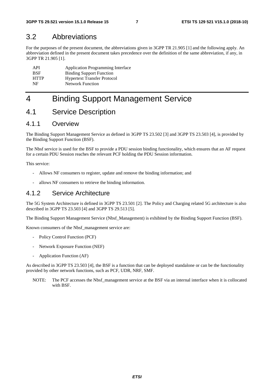### 3.2 Abbreviations

For the purposes of the present document, the abbreviations given in 3GPP TR 21.905 [1] and the following apply. An abbreviation defined in the present document takes precedence over the definition of the same abbreviation, if any, in 3GPP TR 21.905 [1].

| API         | <b>Application Programming Interface</b> |
|-------------|------------------------------------------|
| <b>BSF</b>  | <b>Binding Support Function</b>          |
| <b>HTTP</b> | <b>Hypertext Transfer Protocol</b>       |
| NF          | <b>Network Function</b>                  |

### 4 Binding Support Management Service

### 4.1 Service Description

#### 4.1.1 Overview

The Binding Support Management Service as defined in 3GPP TS 23.502 [3] and 3GPP TS 23.503 [4], is provided by the Binding Support Function (BSF).

The Nbsf service is used for the BSF to provide a PDU session binding functionality, which ensures that an AF request for a certain PDU Session reaches the relevant PCF holding the PDU Session information.

This service:

- Allows NF consumers to register, update and remove the binding information; and
- allows NF consumers to retrieve the binding information.

#### 4.1.2 Service Architecture

The 5G System Architecture is defined in 3GPP TS 23.501 [2]. The Policy and Charging related 5G architecture is also described in 3GPP TS 23.503 [4] and 3GPP TS 29.513 [5].

The Binding Support Management Service (Nbsf\_Management) is exhibited by the Binding Support Function (BSF).

Known consumers of the Nbsf\_management service are:

- Policy Control Function (PCF)
- Network Exposure Function (NEF)
- Application Function (AF)

As described in 3GPP TS 23.503 [4], the BSF is a function that can be deployed standalone or can be the functionality provided by other network functions, such as PCF, UDR, NRF, SMF.

NOTE: The PCF accesses the Nbsf management service at the BSF via an internal interface when it is collocated with BSF.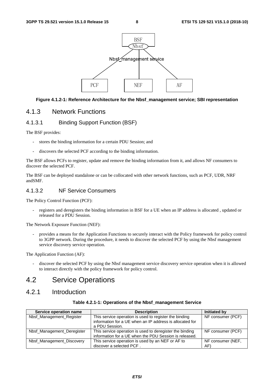

#### **Figure 4.1.2-1: Reference Architecture for the Nbsf\_management service; SBI representation**

#### 4.1.3 Network Functions

#### 4.1.3.1 Binding Support Function (BSF)

The BSF provides:

- stores the binding information for a certain PDU Session; and
- discovers the selected PCF according to the binding information.

The BSF allows PCFs to register, update and remove the binding information from it, and allows NF consumers to discover the selected PCF.

The BSF can be deployed standalone or can be collocated with other network functions, such as PCF, UDR, NRF andSMF.

#### 4.1.3.2 NF Service Consumers

The Policy Control Function (PCF):

registers and deregisters the binding information in BSF for a UE when an IP address is allocated, updated or released for a PDU Session.

The Network Exposure Function (NEF):

- provides a means for the Application Functions to securely interact with the Policy framework for policy control to 3GPP network. During the procedure, it needs to discover the selected PCF by using the Nbsf management service discovery service operation.

The Application Function (AF):

discover the selected PCF by using the Nbsf management service discovery service operation when it is allowed to interact directly with the policy framework for policy control.

### 4.2 Service Operations

#### 4.2.1 Introduction

| Table 4.2.1-1: Operations of the Nbsf_management Service |
|----------------------------------------------------------|
|                                                          |

| Service operation name     | <b>Description</b>                                       | <b>Initiated by</b> |
|----------------------------|----------------------------------------------------------|---------------------|
| Nbsf_Management_Register   | This service operation is used to register the binding   | NF consumer (PCF)   |
|                            | information for a UE when an IP address is allocated for |                     |
|                            | a PDU Session.                                           |                     |
| Nbsf Management Deregister | This service operation is used to deregister the binding | NF consumer (PCF)   |
|                            | information for a UE when the PDU Session is released.   |                     |
| Nbsf_Management_Discovery  | This service operation is used by an NEF or AF to        | NF consumer (NEF,   |
|                            | discover a selected PCF                                  | AF)                 |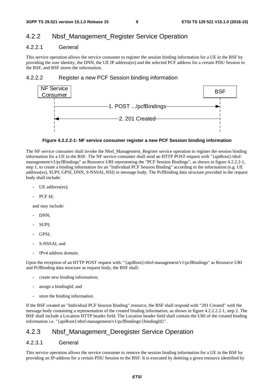### 4.2.2 Nbsf\_Management\_Register Service Operation

#### 4.2.2.1 General

This service operation allows the service consumer to register the session binding information for a UE in the BSF by providing the user identity, the DNN, the UE IP address(es) and the selected PCF address for a certain PDU Session to the BSF, and BSF stores the information.

#### 4.2.2.2 Register a new PCF Session binding information



#### **Figure 4.2.2.2-1: NF service consumer register a new PCF Session binding information**

The NF service consumer shall invoke the Nbsf\_Management\_Register service operation to register the session binding information for a UE in the BSF. The NF service consumer shall send an HTTP POST request with "{apiRoot}/nbsfmanagement/v1/pcfBindings" as Resource URI representing the "PCF Session Bindings", as shown in figure 4.2.2.2-1, step 1, to create a binding information for an "Individual PCF Session Binding" according to the information (e.g. UE address(es), SUPI; GPSI, DNN, S-NSSAI,.NSI) in message body. The PcfBinding data structure provided in the request body shall include:

- UE address(es);
- PCF Id;

and may include:

- DNN:
- SUPI;
- GPSI;
- S-NSSAI, and
- IPv4 address domain.

Upon the reception of an HTTP POST request with: "{apiRoot}/nbsf-management/v1/pcfBindings" as Resource URI and PcfBinding data structure as request body, the BSF shall:

- create new binding information;
- assign a bindingId; and
- store the binding information.

If the BSF created an "Individual PCF Session Binding" resource, the BSF shall respond with "201 Created" with the message body containing a representation of the created binding information, as shown in figure 4.2.2.2.2-1, step 2. The BSF shall include a Location HTTP header field. The Location header field shall contain the URI of the created binding information i.e. "{apiRoot}/nbsf-management/v1/pcfBindings/{bindingId}".

#### 4.2.3 Nbsf Management Deregister Service Operation

#### 4.2.3.1 General

This service operation allows the service consumer to remove the session binding information for a UE in the BSF by providing an IP-address for a certain PDU Session to the BSF. It is executed by deleting a given resource identified by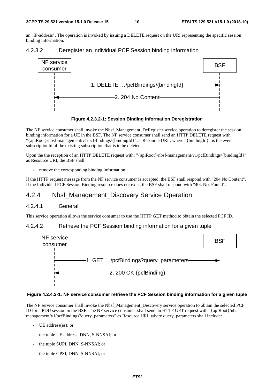an "IP-address". The operation is invoked by issuing a DELETE request on the URI representing the specific session binding information.







The NF service consumer shall invoke the Nbsf\_Management\_DeRegister service operation to deregister the session binding information for a UE in the BSF. The NF service consumer shall send an HTTP DELETE request with "{apiRoot}/nbsf-management/v1/pcfBindings/{bindingId}" as Resource URI , where "{bindingId}" is the event subscriptionId of the existing subscription that is to be deleted..

Upon the the reception of an HTTP DELETE request with: "{apiRoot}/nbsf-management/v1/pcfBindings/{bindingId}" as Resource URI, the BSF shall:

remove the corresponding binding information.

If the HTTP request message from the NF service consumer is accepted, the BSF shall respond with "204 No Content". If the Individual PCF Session Binding resource does not exist, the BSF shall respond with "404 Not Found".

### 4.2.4 Nbsf\_Management\_Discovery Service Operation

#### 4.2.4.1 General

This service operation allows the service consumer to use the HTTP GET method to obtain the selected PCF ID.

#### 4.2.4.2 Retrieve the PCF Session binding information for a given tuple



#### **Figure 4.2.4.2-1: NF service consumer retrieve the PCF Session binding information for a given tuple**

The NF service consumer shall invoke the Nbsf\_Management\_Descovery service operation to obtain the selected PCF ID for a PDU session in the BSF. The NF service consumer shall send an HTTP GET request with "{apiRoot}/nbsfmanagement/v1/pcfBindings?query\_parameters" as Resource URI, where query\_parameters shall include:

- UE address(es); or
- the tuple UE address, DNN, S-NNSAI; or
- the tuple SUPI, DNN, S-NNSAI; or
- the tuple GPSI, DNN, S-NNSAI; or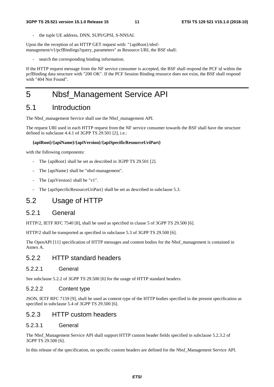the tuple UE address, DNN, SUPI/GPSI, S-NNSAI.

Upon the the reception of an HTTP GET request with: "{apiRoot}/nbsfmanagement/v1/pcfBindings?query\_parameters" as Resource URI, the BSF shall:

search the corresponding binding information.

If the HTTP request message from the NF service consumer is accepted, the BSF shall respond the PCF id within the pcfBinding data structure with "200 OK". If the PCF Session Binding resource does not exist, the BSF shall respond with "404 Not Found".

### 5 Nbsf\_Management Service API

### 5.1 Introduction

The Nbsf\_management Service shall use the Nbsf\_management API.

The request URI used in each HTTP request from the NF service consumer towards the BSF shall have the structure defined in subclause 4.4.1 of 3GPP TS 29.501 [2], i.e.:

#### **{apiRoot}/{apiName}/{apiVersion}/{apiSpecificResourceUriPart}**

with the following components:

- The {apiRoot} shall be set as described in 3GPP TS 29.501 [2].
- The {apiName} shall be "nbsf-management".
- The {apiVersion} shall be "v1".
- The {apiSpecificResourceUriPart} shall be set as described in subclause 5.3.

### 5.2 Usage of HTTP

#### 5.2.1 General

HTTP/2, IETF RFC 7540 [8], shall be used as specified in clause 5 of 3GPP TS 29.500 [6].

HTTP/2 shall be transported as specified in subclause 5.3 of 3GPP TS 29.500 [6].

The OpenAPI [11] specification of HTTP messages and content bodies for the Nbsf\_management is contained in Annex A.

#### 5.2.2 HTTP standard headers

#### 5.2.2.1 General

See subclause 5.2.2 of 3GPP TS 29.500 [6] for the usage of HTTP standard headers.

#### 5.2.2.2 Content type

JSON, IETF RFC 7159 [9], shall be used as content type of the HTTP bodies specified in the present specification as specified in subclause 5.4 of 3GPP TS 29.500 [6].

#### 5.2.3 HTTP custom headers

#### 5.2.3.1 General

The Nbsf\_Management Service API shall support HTTP custom header fields specified in subclause 5.2.3.2 of 3GPP TS 29.500 [6].

In this release of the specification, no specific custom headers are defined for the Nbsf\_Management Service API.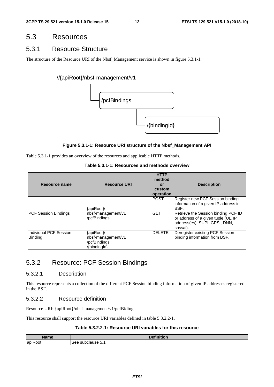### 5.3 Resources

#### 5.3.1 Resource Structure

The structure of the Resource URI of the Nbsf\_Management service is shown in figure 5.3.1-1.

#### //{apiRoot}/nbsf-management/v1



#### **Figure 5.3.1-1: Resource URI structure of the Nbsf\_Management API**

Table 5.3.1-1 provides an overview of the resources and applicable HTTP methods.

| Table 5.3.1-1: Resources and methods overview |  |
|-----------------------------------------------|--|
|-----------------------------------------------|--|

| Resource name                            | <b>Resource URI</b>                                              | <b>HTTP</b><br>method<br>or<br>custom<br>operation | <b>Description</b>                                                                                                                                            |
|------------------------------------------|------------------------------------------------------------------|----------------------------------------------------|---------------------------------------------------------------------------------------------------------------------------------------------------------------|
| <b>PCF Session Bindings</b>              | {apiRoot}/<br>nbsf-management/v1<br>/pcfBindings                 | <b>POST</b><br><b>GET</b>                          | Register new PCF Session binding<br>information of a given IP address in<br>BSF.<br>Retrieve the Session binding PCF ID<br>or address of a given tuple (UE IP |
| Individual PCF Session<br><b>Binding</b> | {apiRoot}/<br>nbsf-management/v1<br>/pcfBindings<br>/{bindingld} | <b>DELETE</b>                                      | address(es), SUPI; GPSI, DNN,<br>snssai).<br>Deregister existing PCF Session<br>binding information from BSF.                                                 |

### 5.3.2 Resource: PCF Session Bindings

#### 5.3.2.1 Description

This resource represents a collection of the different PCF Session binding information of given IP addresses registered in the BSF.

#### 5.3.2.2 Resource definition

Resource URI: {apiRoot}/nbsf-management/v1/pcfBidings

This resource shall support the resource URI variables defined in table 5.3.2.2-1.

#### **Table 5.3.2.2-1: Resource URI variables for this resource**

| Name                         | .<br>$\mathbf{R}$<br>4VH.   |
|------------------------------|-----------------------------|
| $\cdot$ $-$<br>lapik<br>Root | subclause 5.1<br><b>See</b> |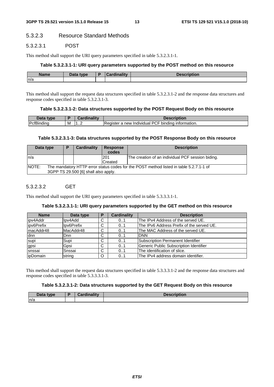#### 5.3.2.3 Resource Standard Methods

#### 5.3.2.3.1 POST

This method shall support the URI query parameters specified in table 5.3.2.3.1-1.

#### **Table 5.3.2.3.1-1: URI query parameters supported by the POST method on this resource**

| <b>Name</b> | Data tyne<br>Putu | ---- | ---- |
|-------------|-------------------|------|------|
| ln/a        |                   |      |      |

This method shall support the request data structures specified in table 5.3.2.3.1-2 and the response data structures and response codes specified in table 5.3.2.3.1-3.

#### **Table 5.3.2.3.1-2: Data structures supported by the POST Request Body on this resource**

| <b>Data type</b>             |   |     | escription                                                                       |
|------------------------------|---|-----|----------------------------------------------------------------------------------|
| <br><b>IPcfBi</b><br>Bindinc | M | 112 | -<br><sup>,</sup> Individual PCF<br>⊧ information.<br>bindina<br>Register<br>new |

#### **Table 5.3.2.3.1-3: Data structures supported by the POST Response Body on this resource**

| Data type                                                                                                                                      | D | Cardinality | <b>Response</b><br>codes | <b>Description</b>                                |  |
|------------------------------------------------------------------------------------------------------------------------------------------------|---|-------------|--------------------------|---------------------------------------------------|--|
| ln/a                                                                                                                                           |   |             | 201<br>Created           | The creation of an individual PCF session biding. |  |
| <b>NOTE:</b><br>The mandatory HTTP error status codes for the POST method listed in table 5.2.7.1-1 of<br>3GPP TS 29.500 [6] shall also apply. |   |             |                          |                                                   |  |

#### 5.3.2.3.2 GET

This method shall support the URI query parameters specified in table 5.3.3.3.1-1.

#### **Table 5.3.2.3.1-1: URI query parameters supported by the GET method on this resource**

| <b>Name</b> | Data type  | ٠ | <b>Cardinality</b> | <b>Description</b>                        |
|-------------|------------|---|--------------------|-------------------------------------------|
| lipv4Addr   | lpy4Add    | C | 0.1                | The IPv4 Address of the served UE.        |
| ipv6Prefix  | Ipv6Prefix | C | 0.1                | The IPv6 Address Prefix of the served UE. |
| ImacAddr48  | MacAddr48  | C | 0.1                | The MAC Address of the served UE.         |
| dnn         | Dnn.       | C | 0.1                | <b>DNN</b>                                |
| supi        | Supi       | C | 0.1                | Subscription Permanent Identifier         |
| gpsi        | Gpsi       | C | 0.1                | Generic Public Subscription Identifier    |
| snssai      | Snssai     | C | 01                 | The identification of slice.              |
| ipDomain    | string     | O | 0.1                | The IPv4 address domain identifier.       |

This method shall support the request data structures specified in table 5.3.3.3.1-2 and the response data structures and response codes specified in table 5.3.3.3.1-3.

#### **Table 5.3.2.3.1-2: Data structures supported by the GET Request Body on this resource**

| <b>Pata type</b> | <b>Cardinality</b> | <b>Description</b> |
|------------------|--------------------|--------------------|
| ln/a             |                    |                    |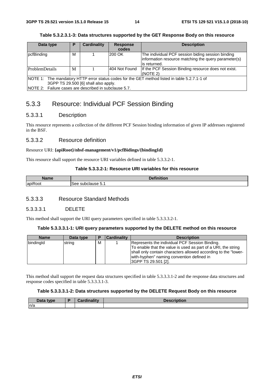| Data type                                                                                     | Р                                                     | <b>Cardinality</b> | <b>Response</b> | <b>Description</b>                                   |  |  |
|-----------------------------------------------------------------------------------------------|-------------------------------------------------------|--------------------|-----------------|------------------------------------------------------|--|--|
|                                                                                               |                                                       |                    | codes           |                                                      |  |  |
| pcfBinding                                                                                    | М                                                     |                    | 200 OK          | The individual PCF session biding session binding    |  |  |
|                                                                                               |                                                       |                    |                 | information resource matching the query parameter(s) |  |  |
|                                                                                               |                                                       |                    |                 | lis returned.                                        |  |  |
| <b>ProblemDetails</b>                                                                         | М                                                     |                    | 404 Not Found   | If the PCF Session Binding resource does not exist.  |  |  |
|                                                                                               |                                                       |                    |                 | (NOTE 2)                                             |  |  |
| NOTE 1: The mandatory HTTP error status codes for the GET method listed in table 5.2.7.1-1 of |                                                       |                    |                 |                                                      |  |  |
|                                                                                               | 3GPP TS 29.500 [6] shall also apply.                  |                    |                 |                                                      |  |  |
|                                                                                               | NOTE 2: Failure cases are described in subclause 5.7. |                    |                 |                                                      |  |  |

#### **Table 5.3.2.3.1-3: Data structures supported by the GET Response Body on this resource**

### 5.3.3 Resource: Individual PCF Session Binding

#### 5.3.3.1 Description

This resource represents a collection of the different PCF Session binding information of given IP addresses registered in the BSF.

#### 5.3.3.2 Resource definition

#### Resource URI: **{apiRoot}/nbsf-management/v1/pcfBidings/{bindingId}**

This resource shall support the resource URI variables defined in table 5.3.3.2-1.

#### **Table 5.3.3.2-1: Resource URI variables for this resource**

| ----                 | . .<br>________      |
|----------------------|----------------------|
| . .<br>lapiR<br>≺oot | subclause 5.<br>.sec |

#### 5.3.3.3 Resource Standard Methods

#### 5.3.3.3.1 DELETE

This method shall support the URI query parameters specified in table 5.3.3.3.2-1.

#### **Table 5.3.3.3.1-1: URI query parameters supported by the DELETE method on this resource**

| <b>Name</b> | Data type | в | <b>Cardinality</b> | <b>Description</b>                                                                                                                                                                                                                                    |
|-------------|-----------|---|--------------------|-------------------------------------------------------------------------------------------------------------------------------------------------------------------------------------------------------------------------------------------------------|
| bindingld   | string    | м |                    | Represents the individual PCF Session Binding.<br>To enable that the value is used as part of a URI, the string<br>shall only contain characters allowed according to the "lower-<br>with-hyphen" naming convention defined in<br>3GPP TS 29.501 [2]. |

This method shall support the request data structures specified in table 5.3.3.3.1-2 and the response data structures and response codes specified in table 5.3.3.3.1-3.

#### **Table 5.3.3.3.1-2: Data structures supported by the DELETE Request Body on this resource**

| <b>Data type</b> | $-15$ and $-15$ denotes | - 45.       |
|------------------|-------------------------|-------------|
| <b>Data</b>      | ுக∝⊿                    | <b>Dece</b> |
| n/a              |                         |             |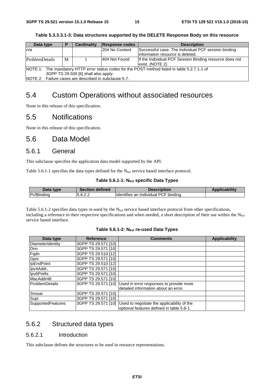| Data type                                                                                      |   | <b>Cardinality</b> | <b>Response codes</b> | <b>Description</b>                                      |
|------------------------------------------------------------------------------------------------|---|--------------------|-----------------------|---------------------------------------------------------|
| n/a                                                                                            |   |                    | 204 No Content        | Successful case: The Individual PCF session binding     |
|                                                                                                |   |                    |                       | linformation resource is deleted.                       |
| ProblemDetails                                                                                 | M |                    | 404 Not Found         | If the Individual PCF Session Binding resource does not |
|                                                                                                |   |                    |                       | lexist. (NOTE 2)                                        |
| NOTE 1: The mandatory HTTP error status codes for the POST method listed in table 5.2.7.1-1 of |   |                    |                       |                                                         |

**Table 5.3.3.3.1-3: Data structures supported by the DELETE Response Body on this resource** 

3GPP TS 29.500 [6] shall also apply. NOTE 2: Failure cases are described in subclause 5.7.

### 5.4 Custom Operations without associated resources

None in this release of this specification.

### 5.5 Notifications

None in this release of this specification.

### 5.6 Data Model

#### 5.6.1 General

This subclause specifies the application data model supported by the API.

Table 5.6.1-1 specifies the data types defined for the  $N_{\text{bsf}}$  service based interface protocol.

#### Table 5.6.1-1: N<sub>bsf</sub> specific Data Types

| Data type          | <b>Section defined</b> | Description                           | <b>Applicability</b> |
|--------------------|------------------------|---------------------------------------|----------------------|
| <b>IPcfBinding</b> | 5.6.2.2                | Identifies an Individual PCF binding. |                      |

Table 5.6.1-2 specifies data types re-used by the  $N_{\text{bsf}}$  service based interface protocol from other specifications, including a reference to their respective specifications and when needed, a short description of their use within the Nbsf service based interface.

#### Table 5.6.1-2: N<sub>bsf</sub> re-used Data Types

| Data type                | <b>Reference</b>    | <b>Comments</b>                            | <b>Applicability</b> |
|--------------------------|---------------------|--------------------------------------------|----------------------|
| DiameterIdentity         | 3GPP TS 29.571 [10] |                                            |                      |
| Dnn                      | 3GPP TS 29.571 [10] |                                            |                      |
| Fqdn                     | 3GPP TS 29.510 [12] |                                            |                      |
| Gpsi                     | 3GPP TS 29.571 [10] |                                            |                      |
| IpEndPoint               | 3GPP TS 29.510 [12] |                                            |                      |
| Ipv4Addr,                | 3GPP TS 29.571 [10] |                                            |                      |
| Ipv6Prefix               | 3GPP TS 29.571 [10] |                                            |                      |
| MacAddr48                | 3GPP TS 29.571 [10] |                                            |                      |
| ProblemDetails           | 3GPP TS 29.571 [10] | Used in error responses to provide more    |                      |
|                          |                     | detailed information about an error.       |                      |
| Snssai                   | 3GPP TS 29.571 [10] |                                            |                      |
| Supi                     | 3GPP TS 29.571 [10] |                                            |                      |
| <b>SupportedFeatures</b> | 3GPP TS 29.571 [10] | Used to negotiate the applicability of the |                      |
|                          |                     | optional features defined in table 5.8-1.  |                      |

#### 5.6.2 Structured data types

#### 5.6.2.1 Introduction

This subclause defines the structures to be used in resource representations.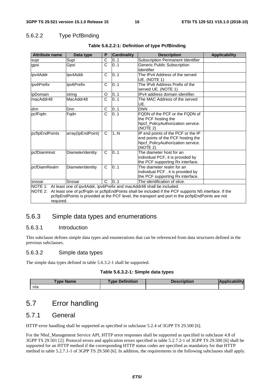#### 5.6.2.2 Type PcfBinding

| <b>Attribute name</b>                                                                                                                                                                                                                                                                                           | Data type         | P            | <b>Cardinality</b> | <b>Description</b>                                                                                                       | <b>Applicability</b> |  |
|-----------------------------------------------------------------------------------------------------------------------------------------------------------------------------------------------------------------------------------------------------------------------------------------------------------------|-------------------|--------------|--------------------|--------------------------------------------------------------------------------------------------------------------------|----------------------|--|
| supi                                                                                                                                                                                                                                                                                                            | Supi              | C            | 0.1                | Subscription Permanent Identifier                                                                                        |                      |  |
| Gpsi<br>gpsi                                                                                                                                                                                                                                                                                                    |                   | C            | 0.1                | <b>Generic Public Subscription</b><br>Identifier                                                                         |                      |  |
| ipv4Addr                                                                                                                                                                                                                                                                                                        | Ipv4Addr          | C            | 0.1                | The IPv4 Address of the served<br>UE. (NOTE 1)                                                                           |                      |  |
| ipv6Prefix                                                                                                                                                                                                                                                                                                      | Ipv6Prefix        | C            | 01                 | The IPv6 Address Prefix of the<br>served UE. (NOTE 1)                                                                    |                      |  |
| <i>ipDomain</i>                                                                                                                                                                                                                                                                                                 | string            | O            | 01                 | IPv4 address domain identifier.                                                                                          |                      |  |
| macAddr48                                                                                                                                                                                                                                                                                                       | MacAddr48         | $\mathsf{C}$ | 01                 | The MAC Address of the served<br>UE.                                                                                     |                      |  |
| dnn                                                                                                                                                                                                                                                                                                             | Dnn               | С            | 0.1                | <b>DNN</b>                                                                                                               |                      |  |
| pcfFqdn                                                                                                                                                                                                                                                                                                         | Fqdn              | C            | 0.1                | FQDN of the PCF or the FQDN of<br>the PCF hosting the<br>Npcf PolicyAuthorization service.<br>(NOTE 2)                   |                      |  |
| pcflpEndPoints                                                                                                                                                                                                                                                                                                  | array(IpEndPoint) | C            | 1N                 | IP end points of the PCF or the IP<br>end points of the PCF hosting the<br>Npcf_PolicyAuthorization service.<br>(NOTE 2) |                      |  |
| pcfDiamHost                                                                                                                                                                                                                                                                                                     | DiameterIdentity  | C            | $\overline{0}$ 1   | The diameter host for an<br>individual PCF, it is provided by<br>the PCF supporting Rx interface.                        |                      |  |
| pcfDiamRealm                                                                                                                                                                                                                                                                                                    | DiameterIdentity  | C            | 0.1                | The diameter realm for an<br>individual PCF, it is provided by<br>the PCF supporting Rx interface.                       |                      |  |
| snssai                                                                                                                                                                                                                                                                                                          | Snssai            | C            | 0.1                | The identification of slice.                                                                                             |                      |  |
| NOTE 1: At least one of ipv4Addr, ipv6Prefix and macAddr48 shall be included.<br>NOTE 2: At least one of pcfFqdn or pcfIpEndPoints shall be included if the PCF supports N5 interface. If the<br>pcflpEndPoints is provided at the PCF level, the transport and port in the pcflpEndPoints are not<br>required. |                   |              |                    |                                                                                                                          |                      |  |

#### **Table 5.6.2.2-1: Definition of type PcfBinding**

#### 5.6.3 Simple data types and enumerations

#### 5.6.3.1 Introduction

This subclause defines simple data types and enumerations that can be referenced from data structures defined in the previous subclauses.

#### 5.6.3.2 Simple data types

The simple data types defined in table 5.6.3.2-1 shall be supported.

#### **Table 5.6.3.2-1: Simple data types**

| <b>Type Name</b> | <b>Definition</b><br><b>JUDE</b> | tion |  |
|------------------|----------------------------------|------|--|
| n/a              |                                  |      |  |

### 5.7 Error handling

### 5.7.1 General

HTTP error handling shall be supported as specified in subclause 5.2.4 of 3GPP TS 29.500 [6].

For the Nbsf\_Management Service API, HTTP error responses shall be supported as specified in subclause 4.8 of 3GPP TS 29.501 [2]. Protocol errors and application errors specified in table 5.2.7.2-1 of 3GPP TS 29.500 [6] shall be supported for an HTTP method if the corresponding HTTP status codes are specified as mandatory for that HTTP method in table 5.2.7.1-1 of 3GPP TS 29.500 [6]. In addition, the requirements in the following subclauses shall apply.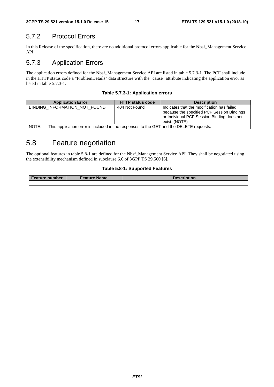### 5.7.2 Protocol Errors

In this Release of the specification, there are no additional protocol errors applicable for the Nbsf\_Management Service API.

### 5.7.3 Application Errors

The application errors defined for the Nbsf\_Management Service API are listed in table 5.7.3-1. The PCF shall include in the HTTP status code a "ProblemDetails" data structure with the "cause" attribute indicating the application error as listed in table 5.7.3-1.

|  |  | Table 5.7.3-1: Application errors |  |
|--|--|-----------------------------------|--|
|--|--|-----------------------------------|--|

| <b>Application Error</b>      | <b>HTTP status code</b>                                                                 | <b>Description</b>                                                                                                                                      |  |  |  |  |
|-------------------------------|-----------------------------------------------------------------------------------------|---------------------------------------------------------------------------------------------------------------------------------------------------------|--|--|--|--|
| BINDING INFORMATION NOT FOUND | 404 Not Found                                                                           | Indicates that the modification has failed<br>because the specified PCF Session Bindings<br>or Individual PCF Session Binding does not<br>exist. (NOTE) |  |  |  |  |
| NOTE:                         | This application error is included in the responses to the GET and the DELETE requests. |                                                                                                                                                         |  |  |  |  |

### 5.8 Feature negotiation

The optional features in table 5.8-1 are defined for the Nbsf\_Management Service API. They shall be negotiated using the extensibility mechanism defined in subclause 6.6 of 3GPP TS 29.500 [6].

#### **Table 5.8-1: Supported Features**

| <b>Feature number</b> | Feature Name | Description |
|-----------------------|--------------|-------------|
|                       |              |             |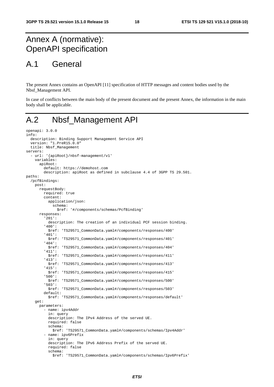### Annex A (normative): OpenAPI specification

### A.1 General

The present Annex contains an OpenAPI [11] specification of HTTP messages and content bodies used by the Nbsf\_Management API.

In case of conflicts between the main body of the present document and the present Annex, the information in the main body shall be applicable.

### A.2 Nbsf\_Management API

```
openapi: 3.0.0 
info: 
   description: Binding Support Management Service API 
   version: "1.PreR15.0.0" 
   title: Nbsf_Management 
servers: 
   - url: '{apiRoot}/nbsf-management/v1' 
     variables: 
       apiRoot: 
         default: https://demohost.com 
         description: apiRoot as defined in subclause 4.4 of 3GPP TS 29.501. 
paths: 
   /pcfBindings: 
     post: 
       requestBody: 
         required: true 
         content: 
           application/json: 
              schema: 
                $ref: '#/components/schemas/PcfBinding' 
       responses: 
          '201': 
           description: The creation of an individual PCF session binding. 
          '400': 
            $ref: 'TS29571_CommonData.yaml#/components/responses/400' 
          '401': 
           $ref: 'TS29571_CommonData.yaml#/components/responses/401' 
          '404': 
            $ref: 'TS29571_CommonData.yaml#/components/responses/404' 
          '411': 
            $ref: 'TS29571_CommonData.yaml#/components/responses/411' 
          '413': 
           $ref: 'TS29571_CommonData.yaml#/components/responses/413' 
          '415': 
            $ref: 'TS29571_CommonData.yaml#/components/responses/415' 
          '500': 
            $ref: 'TS29571_CommonData.yaml#/components/responses/500' 
          '503': 
            $ref: 'TS29571_CommonData.yaml#/components/responses/503' 
         default: 
            $ref: 'TS29571_CommonData.yaml#/components/responses/default' 
     get: 
       parameters: 
          - name: ipv4Addr 
           in: query 
           description: The IPv4 Address of the served UE. 
           required: false 
           schema: 
              $ref: 'TS29571_CommonData.yaml#/components/schemas/Ipv4Addr' 
          - name: ipv6Prefix 
           in: query 
           description: The IPv6 Address Prefix of the served UE. 
           required: false 
            schema: 
              $ref: 'TS29571_CommonData.yaml#/components/schemas/Ipv6Prefix'
```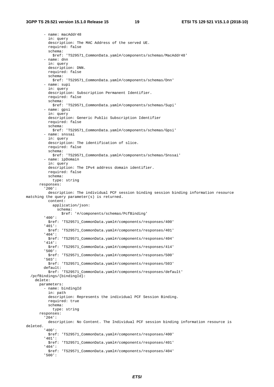- name: macAddr48 in: query description: The MAC Address of the served UE. required: false schema: \$ref: 'TS29571\_CommonData.yaml#/components/schemas/MacAddr48' - name: dnn in: query description: DNN. required: false schema: \$ref: 'TS29571\_CommonData.yaml#/components/schemas/Dnn' - name: supi in: query description: Subscription Permanent Identifier. required: false schema: \$ref: 'TS29571\_CommonData.yaml#/components/schemas/Supi' - name: gpsi in: query description: Generic Public Subscription Identifier required: false schema: \$ref: 'TS29571\_CommonData.yaml#/components/schemas/Gpsi' - name: snssai in: query description: The identification of slice. required: false schema: \$ref: 'TS29571\_CommonData.yaml#/components/schemas/Snssai' - name: ipDomain in: query description: The IPv4 address domain identifier. required: false schema: type: string responses: '200': description: The individual PCF session binding session binding information resource matching the query parameter(s) is returned. content: application/json: schema: \$ref: '#/components/schemas/PcfBinding' '400': \$ref: 'TS29571\_CommonData.yaml#/components/responses/400' '401': \$ref: 'TS29571\_CommonData.yaml#/components/responses/401' '404': \$ref: 'TS29571\_CommonData.yaml#/components/responses/404' '414': \$ref: 'TS29571\_CommonData.yaml#/components/responses/414' '500': \$ref: 'TS29571\_CommonData.yaml#/components/responses/500' '503': \$ref: 'TS29571\_CommonData.yaml#/components/responses/503' default: \$ref: 'TS29571\_CommonData.yaml#/components/responses/default' /pcfBindings/{bindingId}: delete: parameters: - name: bindingId in: path description: Represents the individual PCF Session Binding. required: true schema: type: string responses: '204': description: No Content. The Individual PCF session binding information resource is deleted. '400': \$ref: 'TS29571\_CommonData.yaml#/components/responses/400' '401': \$ref: 'TS29571\_CommonData.yaml#/components/responses/401' '404': \$ref: 'TS29571\_CommonData.yaml#/components/responses/404' '500':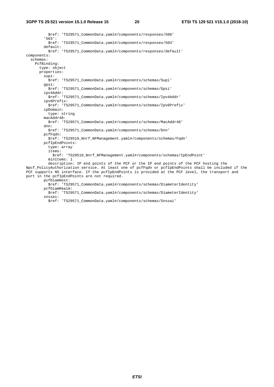\$ref: 'TS29571\_CommonData.yaml#/components/responses/500' '503': \$ref: 'TS29571\_CommonData.yaml#/components/responses/503' default: \$ref: 'TS29571\_CommonData.yaml#/components/responses/default' components: schemas: PcfBinding: type: object properties: supi: \$ref: 'TS29571\_CommonData.yaml#/components/schemas/Supi' gpsi: \$ref: 'TS29571\_CommonData.yaml#/components/schemas/Gpsi' ipv4Addr: .<br>\$ref: 'TS29571\_CommonData.yaml#/components/schemas/Ipv4Addr' ipv6Prefix: \$ref: 'TS29571\_CommonData.yaml#/components/schemas/Ipv6Prefix' ipDomain: type: string macAddr48: \$ref: 'TS29571\_CommonData.yaml#/components/schemas/MacAddr48' dnn: \$ref: 'TS29571\_CommonData.yaml#/components/schemas/Dnn' pcfFqdn: \$ref: 'TS29510\_Nnrf\_NFManagement.yaml#/components/schemas/Fqdn' pcfIpEndPoints: type: array items: \$ref: 'TS29510\_Nnrf\_NFManagement.yaml#/components/schemas/IpEndPoint' minItems: 1 description: IP end points of the PCF or the IP end points of the PCF hosting the Npcf\_PolicyAuthorization service. At least one of pcfFqdn or pcfIpEndPoints shall be included if the PCF supports N5 interface. If the pcfIpEndPoints is provided at the PCF level, the transport and port in the pcfIpEndPoints are not required. pcfDiamHost: \$ref: 'TS29571\_CommonData.yaml#/components/schemas/DiameterIdentity'

pcfDiamRealm:

 \$ref: 'TS29571\_CommonData.yaml#/components/schemas/DiameterIdentity' snssai:

- 
- \$ref: 'TS29571\_CommonData.yaml#/components/schemas/Snssai'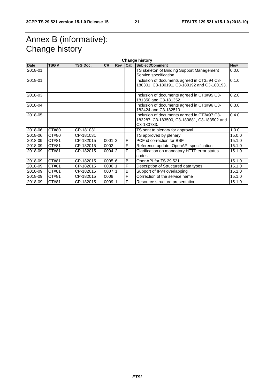### Annex B (informative): Change history

| <b>Change history</b> |       |                 |                   |     |     |                                                                                                                       |            |  |  |
|-----------------------|-------|-----------------|-------------------|-----|-----|-----------------------------------------------------------------------------------------------------------------------|------------|--|--|
| <b>Date</b>           | TSG#  | <b>TSG Doc.</b> | <b>CR</b>         | Rev | Cat | Subject/Comment                                                                                                       | <b>New</b> |  |  |
| 2018-01               |       |                 |                   |     |     | TS skeleton of Binding Support Management<br>Service specification                                                    | 0.0.0      |  |  |
| 2018-01               |       |                 |                   |     |     | Inclusion of documents agreed in CT3#94 C3-<br>180301, C3-180191, C3-180192 and C3-180193.                            | 0.1.0      |  |  |
| 2018-03               |       |                 |                   |     |     | Inclusion of documents agreed in CT3#95 C3-<br>181350 and C3-181352.                                                  | 0.2.0      |  |  |
| 2018-04               |       |                 |                   |     |     | Inclusion of documents agreed in CT3#96 C3-<br>182424 and C3-182510.                                                  | 0.3.0      |  |  |
| 2018-05               |       |                 |                   |     |     | Inclusion of documents agreed in CT3#97 C3-<br>183287, C3-183500, C3-183881, C3-183502 and<br>C <sub>3</sub> -183733. | 0.4.0      |  |  |
| 2018-06               | CT#80 | CP-181031       |                   |     |     | TS sent to plenary for approval.                                                                                      | 1.0.0      |  |  |
| 2018-06               | CT#80 | CP-181031       |                   |     |     | TS approved by plenary                                                                                                | 15.0.0     |  |  |
| 2018-09               | CT#81 | CP-182015       | 00012             |     | F   | PCF id correction for BSF                                                                                             | 15.1.0     |  |  |
| 2018-09               | CT#81 | CP-182015       | 0002              |     | F   | Reference update: OpenAPI specification                                                                               | 15.1.0     |  |  |
| 2018-09               | CT#81 | CP-182015       | $0004$  2         |     | F   | Clarification on mandatory HTTP error status<br>codes                                                                 | 15.1.0     |  |  |
| 2018-09               | CT#81 | CP-182015       | 0005 6            |     | B   | OpenAPI for TS 29.521                                                                                                 | 15.1.0     |  |  |
| 2018-09               | CT#81 | CP-182015       | $0006$ $^{\circ}$ |     | F   | Description of Structured data types                                                                                  | 15.1.0     |  |  |
| 2018-09               | CT#81 | CP-182015       | 000711            |     | B   | Support of IPv4 overlapping                                                                                           | 15.1.0     |  |  |
| 2018-09               | CT#81 | CP-182015       | 0008              |     | F   | Correction of the service name                                                                                        | 15.1.0     |  |  |
| 2018-09               | CT#81 | CP-182015       | 00091             |     | F   | Resource structure presentation                                                                                       | 15.1.0     |  |  |